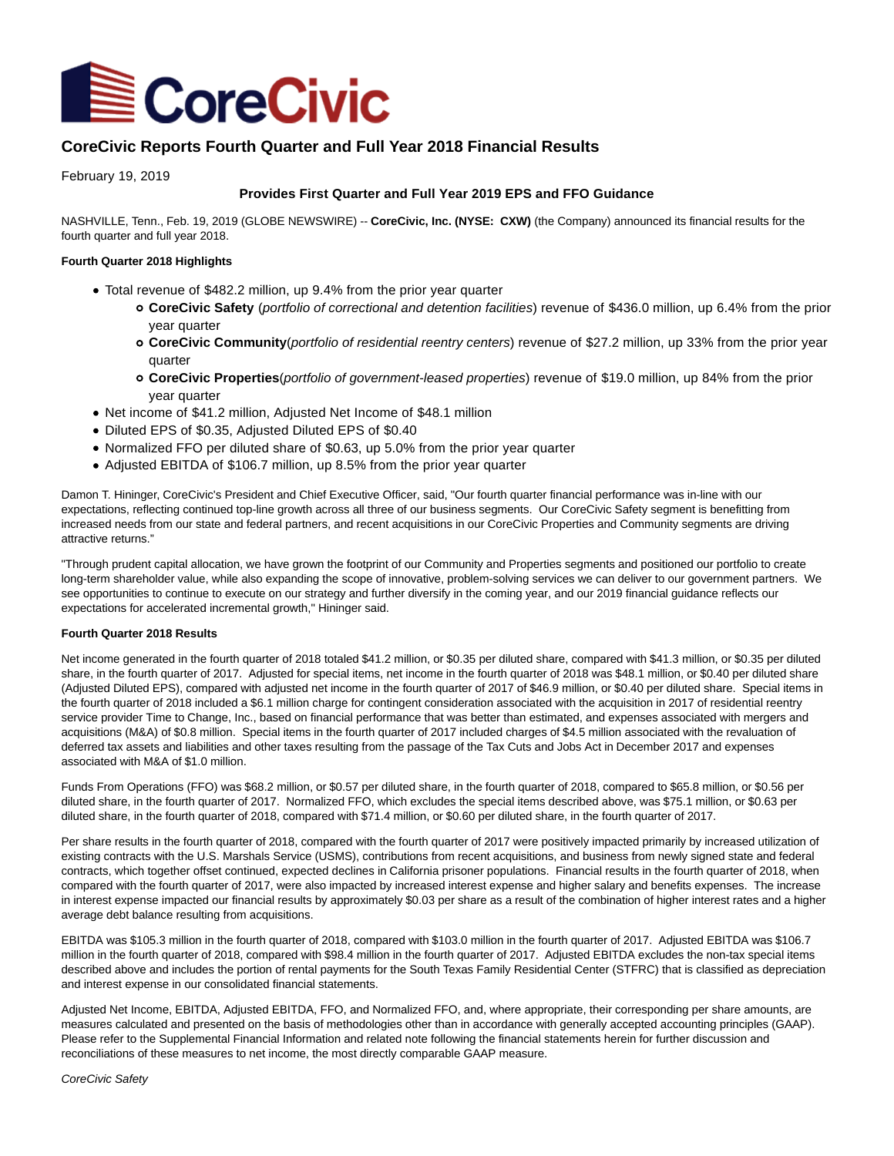

# **CoreCivic Reports Fourth Quarter and Full Year 2018 Financial Results**

February 19, 2019

## **Provides First Quarter and Full Year 2019 EPS and FFO Guidance**

NASHVILLE, Tenn., Feb. 19, 2019 (GLOBE NEWSWIRE) -- **CoreCivic, Inc. (NYSE: CXW)** (the Company) announced its financial results for the fourth quarter and full year 2018.

#### **Fourth Quarter 2018 Highlights**

- Total revenue of \$482.2 million, up 9.4% from the prior year quarter
	- **CoreCivic Safety** (portfolio of correctional and detention facilities) revenue of \$436.0 million, up 6.4% from the prior year quarter
	- **CoreCivic Community**(portfolio of residential reentry centers) revenue of \$27.2 million, up 33% from the prior year quarter
	- **CoreCivic Properties**(portfolio of government-leased properties) revenue of \$19.0 million, up 84% from the prior year quarter
- Net income of \$41.2 million, Adjusted Net Income of \$48.1 million
- Diluted EPS of \$0.35, Adjusted Diluted EPS of \$0.40
- Normalized FFO per diluted share of \$0.63, up 5.0% from the prior year quarter
- Adjusted EBITDA of \$106.7 million, up 8.5% from the prior year quarter

Damon T. Hininger, CoreCivic's President and Chief Executive Officer, said, "Our fourth quarter financial performance was in-line with our expectations, reflecting continued top-line growth across all three of our business segments. Our CoreCivic Safety segment is benefitting from increased needs from our state and federal partners, and recent acquisitions in our CoreCivic Properties and Community segments are driving attractive returns."

"Through prudent capital allocation, we have grown the footprint of our Community and Properties segments and positioned our portfolio to create long-term shareholder value, while also expanding the scope of innovative, problem-solving services we can deliver to our government partners. We see opportunities to continue to execute on our strategy and further diversify in the coming year, and our 2019 financial guidance reflects our expectations for accelerated incremental growth," Hininger said.

#### **Fourth Quarter 2018 Results**

Net income generated in the fourth quarter of 2018 totaled \$41.2 million, or \$0.35 per diluted share, compared with \$41.3 million, or \$0.35 per diluted share, in the fourth quarter of 2017. Adjusted for special items, net income in the fourth quarter of 2018 was \$48.1 million, or \$0.40 per diluted share (Adjusted Diluted EPS), compared with adjusted net income in the fourth quarter of 2017 of \$46.9 million, or \$0.40 per diluted share. Special items in the fourth quarter of 2018 included a \$6.1 million charge for contingent consideration associated with the acquisition in 2017 of residential reentry service provider Time to Change, Inc., based on financial performance that was better than estimated, and expenses associated with mergers and acquisitions (M&A) of \$0.8 million. Special items in the fourth quarter of 2017 included charges of \$4.5 million associated with the revaluation of deferred tax assets and liabilities and other taxes resulting from the passage of the Tax Cuts and Jobs Act in December 2017 and expenses associated with M&A of \$1.0 million.

Funds From Operations (FFO) was \$68.2 million, or \$0.57 per diluted share, in the fourth quarter of 2018, compared to \$65.8 million, or \$0.56 per diluted share, in the fourth quarter of 2017. Normalized FFO, which excludes the special items described above, was \$75.1 million, or \$0.63 per diluted share, in the fourth quarter of 2018, compared with \$71.4 million, or \$0.60 per diluted share, in the fourth quarter of 2017.

Per share results in the fourth quarter of 2018, compared with the fourth quarter of 2017 were positively impacted primarily by increased utilization of existing contracts with the U.S. Marshals Service (USMS), contributions from recent acquisitions, and business from newly signed state and federal contracts, which together offset continued, expected declines in California prisoner populations. Financial results in the fourth quarter of 2018, when compared with the fourth quarter of 2017, were also impacted by increased interest expense and higher salary and benefits expenses. The increase in interest expense impacted our financial results by approximately \$0.03 per share as a result of the combination of higher interest rates and a higher average debt balance resulting from acquisitions.

EBITDA was \$105.3 million in the fourth quarter of 2018, compared with \$103.0 million in the fourth quarter of 2017. Adjusted EBITDA was \$106.7 million in the fourth quarter of 2018, compared with \$98.4 million in the fourth quarter of 2017. Adjusted EBITDA excludes the non-tax special items described above and includes the portion of rental payments for the South Texas Family Residential Center (STFRC) that is classified as depreciation and interest expense in our consolidated financial statements.

Adjusted Net Income, EBITDA, Adjusted EBITDA, FFO, and Normalized FFO, and, where appropriate, their corresponding per share amounts, are measures calculated and presented on the basis of methodologies other than in accordance with generally accepted accounting principles (GAAP). Please refer to the Supplemental Financial Information and related note following the financial statements herein for further discussion and reconciliations of these measures to net income, the most directly comparable GAAP measure.

CoreCivic Safety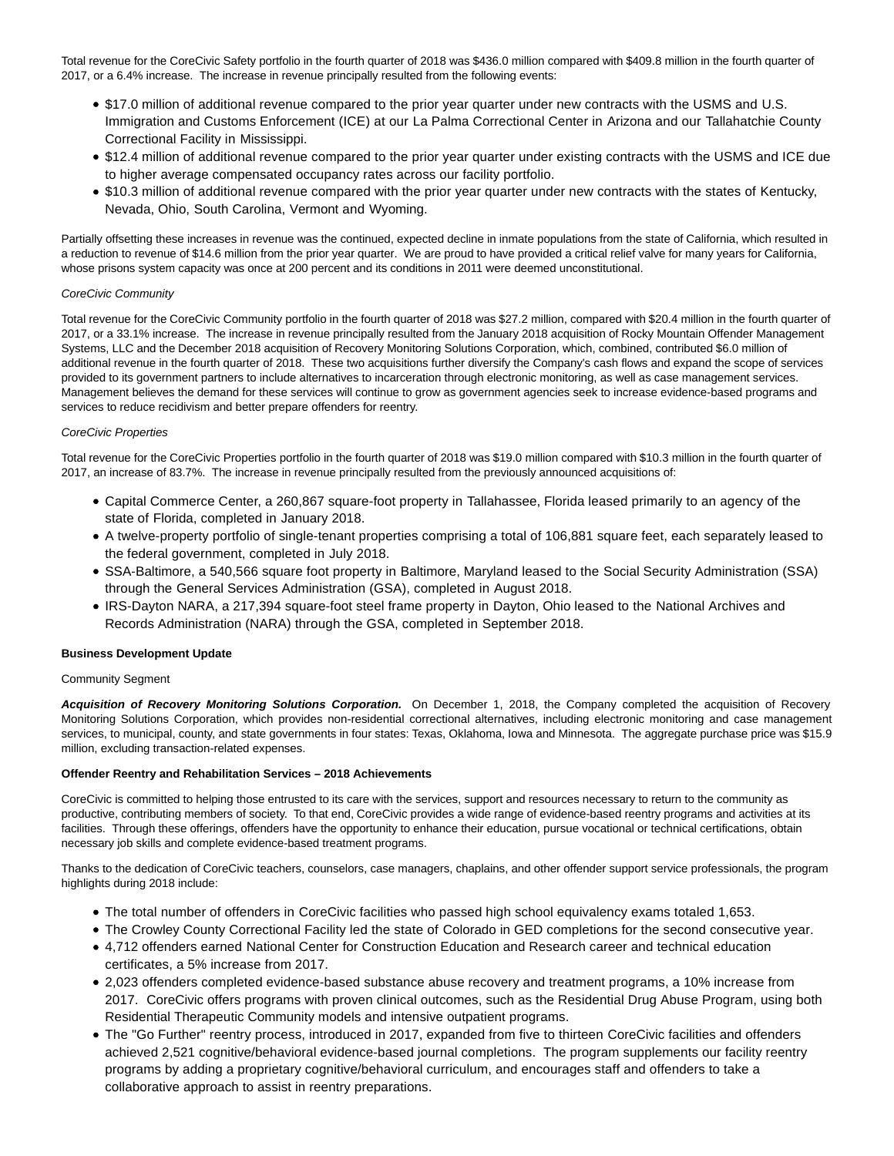Total revenue for the CoreCivic Safety portfolio in the fourth quarter of 2018 was \$436.0 million compared with \$409.8 million in the fourth quarter of 2017, or a 6.4% increase. The increase in revenue principally resulted from the following events:

- \$17.0 million of additional revenue compared to the prior year quarter under new contracts with the USMS and U.S. Immigration and Customs Enforcement (ICE) at our La Palma Correctional Center in Arizona and our Tallahatchie County Correctional Facility in Mississippi.
- \$12.4 million of additional revenue compared to the prior year quarter under existing contracts with the USMS and ICE due to higher average compensated occupancy rates across our facility portfolio.
- \$10.3 million of additional revenue compared with the prior year quarter under new contracts with the states of Kentucky, Nevada, Ohio, South Carolina, Vermont and Wyoming.

Partially offsetting these increases in revenue was the continued, expected decline in inmate populations from the state of California, which resulted in a reduction to revenue of \$14.6 million from the prior year quarter. We are proud to have provided a critical relief valve for many years for California, whose prisons system capacity was once at 200 percent and its conditions in 2011 were deemed unconstitutional.

### CoreCivic Community

Total revenue for the CoreCivic Community portfolio in the fourth quarter of 2018 was \$27.2 million, compared with \$20.4 million in the fourth quarter of 2017, or a 33.1% increase. The increase in revenue principally resulted from the January 2018 acquisition of Rocky Mountain Offender Management Systems, LLC and the December 2018 acquisition of Recovery Monitoring Solutions Corporation, which, combined, contributed \$6.0 million of additional revenue in the fourth quarter of 2018. These two acquisitions further diversify the Company's cash flows and expand the scope of services provided to its government partners to include alternatives to incarceration through electronic monitoring, as well as case management services. Management believes the demand for these services will continue to grow as government agencies seek to increase evidence-based programs and services to reduce recidivism and better prepare offenders for reentry.

#### CoreCivic Properties

Total revenue for the CoreCivic Properties portfolio in the fourth quarter of 2018 was \$19.0 million compared with \$10.3 million in the fourth quarter of 2017, an increase of 83.7%. The increase in revenue principally resulted from the previously announced acquisitions of:

- Capital Commerce Center, a 260,867 square-foot property in Tallahassee, Florida leased primarily to an agency of the state of Florida, completed in January 2018.
- A twelve-property portfolio of single-tenant properties comprising a total of 106,881 square feet, each separately leased to the federal government, completed in July 2018.
- SSA-Baltimore, a 540,566 square foot property in Baltimore, Maryland leased to the Social Security Administration (SSA) through the General Services Administration (GSA), completed in August 2018.
- IRS-Dayton NARA, a 217,394 square-foot steel frame property in Dayton, Ohio leased to the National Archives and Records Administration (NARA) through the GSA, completed in September 2018.

### **Business Development Update**

#### Community Segment

**Acquisition of Recovery Monitoring Solutions Corporation.** On December 1, 2018, the Company completed the acquisition of Recovery Monitoring Solutions Corporation, which provides non-residential correctional alternatives, including electronic monitoring and case management services, to municipal, county, and state governments in four states: Texas, Oklahoma, Iowa and Minnesota. The aggregate purchase price was \$15.9 million, excluding transaction-related expenses.

### **Offender Reentry and Rehabilitation Services – 2018 Achievements**

CoreCivic is committed to helping those entrusted to its care with the services, support and resources necessary to return to the community as productive, contributing members of society. To that end, CoreCivic provides a wide range of evidence-based reentry programs and activities at its facilities. Through these offerings, offenders have the opportunity to enhance their education, pursue vocational or technical certifications, obtain necessary job skills and complete evidence-based treatment programs.

Thanks to the dedication of CoreCivic teachers, counselors, case managers, chaplains, and other offender support service professionals, the program highlights during 2018 include:

- The total number of offenders in CoreCivic facilities who passed high school equivalency exams totaled 1,653.
- The Crowley County Correctional Facility led the state of Colorado in GED completions for the second consecutive year.
- 4,712 offenders earned National Center for Construction Education and Research career and technical education certificates, a 5% increase from 2017.
- 2,023 offenders completed evidence-based substance abuse recovery and treatment programs, a 10% increase from 2017. CoreCivic offers programs with proven clinical outcomes, such as the Residential Drug Abuse Program, using both Residential Therapeutic Community models and intensive outpatient programs.
- The "Go Further" reentry process, introduced in 2017, expanded from five to thirteen CoreCivic facilities and offenders achieved 2,521 cognitive/behavioral evidence-based journal completions. The program supplements our facility reentry programs by adding a proprietary cognitive/behavioral curriculum, and encourages staff and offenders to take a collaborative approach to assist in reentry preparations.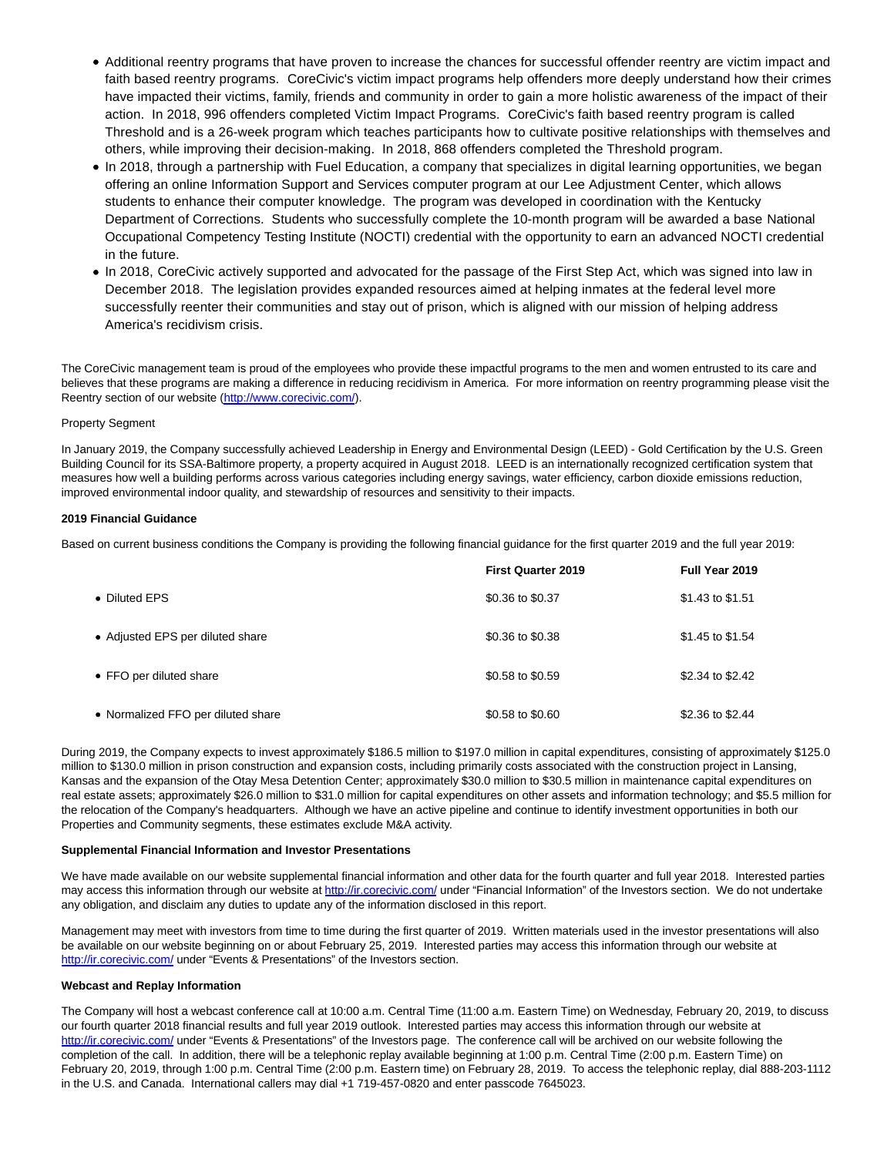- Additional reentry programs that have proven to increase the chances for successful offender reentry are victim impact and faith based reentry programs. CoreCivic's victim impact programs help offenders more deeply understand how their crimes have impacted their victims, family, friends and community in order to gain a more holistic awareness of the impact of their action. In 2018, 996 offenders completed Victim Impact Programs. CoreCivic's faith based reentry program is called Threshold and is a 26-week program which teaches participants how to cultivate positive relationships with themselves and others, while improving their decision-making. In 2018, 868 offenders completed the Threshold program.
- In 2018, through a partnership with Fuel Education, a company that specializes in digital learning opportunities, we began offering an online Information Support and Services computer program at our Lee Adjustment Center, which allows students to enhance their computer knowledge. The program was developed in coordination with the Kentucky Department of Corrections. Students who successfully complete the 10-month program will be awarded a base National Occupational Competency Testing Institute (NOCTI) credential with the opportunity to earn an advanced NOCTI credential in the future.
- In 2018, CoreCivic actively supported and advocated for the passage of the First Step Act, which was signed into law in December 2018. The legislation provides expanded resources aimed at helping inmates at the federal level more successfully reenter their communities and stay out of prison, which is aligned with our mission of helping address America's recidivism crisis.

The CoreCivic management team is proud of the employees who provide these impactful programs to the men and women entrusted to its care and believes that these programs are making a difference in reducing recidivism in America. For more information on reentry programming please visit the Reentry section of our website [\(http://www.corecivic.com/\).](https://www.globenewswire.com/Tracker?data=nqSQb0ICpSDqg32LMSY98FEFX32_OUXKx0JG5752cDs275GRBI_gGnzw1NDs-yGe0JZsnb_WMp7UfGt9MVEkyOrolBNJ8m_Aa0gi1GedOLY=)

### Property Segment

In January 2019, the Company successfully achieved Leadership in Energy and Environmental Design (LEED) - Gold Certification by the U.S. Green Building Council for its SSA-Baltimore property, a property acquired in August 2018. LEED is an internationally recognized certification system that measures how well a building performs across various categories including energy savings, water efficiency, carbon dioxide emissions reduction, improved environmental indoor quality, and stewardship of resources and sensitivity to their impacts.

### **2019 Financial Guidance**

Based on current business conditions the Company is providing the following financial guidance for the first quarter 2019 and the full year 2019:

|                                    | <b>First Quarter 2019</b> | Full Year 2019   |
|------------------------------------|---------------------------|------------------|
| • Diluted EPS                      | \$0.36 to \$0.37          | \$1.43 to \$1.51 |
| • Adjusted EPS per diluted share   | \$0.36 to \$0.38          | \$1.45 to \$1.54 |
| • FFO per diluted share            | \$0.58 to \$0.59          | \$2.34 to \$2.42 |
| • Normalized FFO per diluted share | \$0.58 to \$0.60          | \$2.36 to \$2.44 |

During 2019, the Company expects to invest approximately \$186.5 million to \$197.0 million in capital expenditures, consisting of approximately \$125.0 million to \$130.0 million in prison construction and expansion costs, including primarily costs associated with the construction project in Lansing, Kansas and the expansion of the Otay Mesa Detention Center; approximately \$30.0 million to \$30.5 million in maintenance capital expenditures on real estate assets; approximately \$26.0 million to \$31.0 million for capital expenditures on other assets and information technology; and \$5.5 million for the relocation of the Company's headquarters. Although we have an active pipeline and continue to identify investment opportunities in both our Properties and Community segments, these estimates exclude M&A activity.

#### **Supplemental Financial Information and Investor Presentations**

We have made available on our website supplemental financial information and other data for the fourth quarter and full year 2018. Interested parties may access this information through our website at [http://ir.corecivic.com/ u](https://www.globenewswire.com/Tracker?data=nqSQb0ICpSDqg32LMSY98FJkFxHTWz1YeCHy-08nYkvYbrz7MpOnIR_H06Vb2Qa5m7i-FTqTWJ90OBaV110wjea234Y9wlCoewKmcbHkMK4=)nder "Financial Information" of the Investors section. We do not undertake any obligation, and disclaim any duties to update any of the information disclosed in this report.

Management may meet with investors from time to time during the first quarter of 2019. Written materials used in the investor presentations will also be available on our website beginning on or about February 25, 2019. Interested parties may access this information through our website at [http://ir.corecivic.com/ u](https://www.globenewswire.com/Tracker?data=nqSQb0ICpSDqg32LMSY98FJkFxHTWz1YeCHy-08nYksgptqNom_GTe86uTl6Vf47Q1GLx2Uf1SzctOUAxOz-NpzGblzuRCtUBxIAtGGOaHI=)nder "Events & Presentations" of the Investors section.

### **Webcast and Replay Information**

The Company will host a webcast conference call at 10:00 a.m. Central Time (11:00 a.m. Eastern Time) on Wednesday, February 20, 2019, to discuss our fourth quarter 2018 financial results and full year 2019 outlook. Interested parties may access this information through our website at [http://ir.corecivic.com/ u](https://www.globenewswire.com/Tracker?data=nqSQb0ICpSDqg32LMSY98FJkFxHTWz1YeCHy-08nYkuCltQOC5DM1Sts-kan1iGx4UWGq6BZMAOvyGVtCMIcLWqp1EctzZQDjVo1tFN1RmQ=)nder "Events & Presentations" of the Investors page. The conference call will be archived on our website following the completion of the call. In addition, there will be a telephonic replay available beginning at 1:00 p.m. Central Time (2:00 p.m. Eastern Time) on February 20, 2019, through 1:00 p.m. Central Time (2:00 p.m. Eastern time) on February 28, 2019. To access the telephonic replay, dial 888-203-1112 in the U.S. and Canada. International callers may dial +1 719-457-0820 and enter passcode 7645023.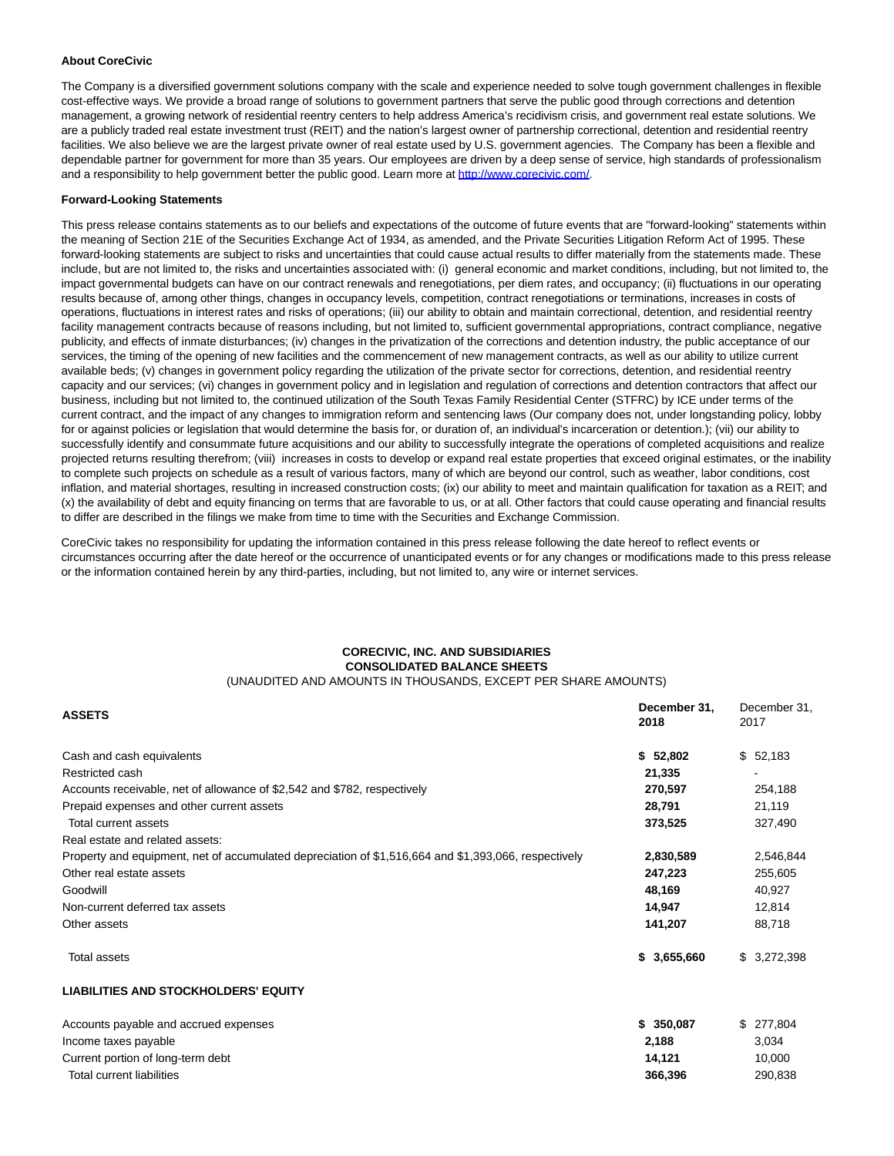### **About CoreCivic**

The Company is a diversified government solutions company with the scale and experience needed to solve tough government challenges in flexible cost-effective ways. We provide a broad range of solutions to government partners that serve the public good through corrections and detention management, a growing network of residential reentry centers to help address America's recidivism crisis, and government real estate solutions. We are a publicly traded real estate investment trust (REIT) and the nation's largest owner of partnership correctional, detention and residential reentry facilities. We also believe we are the largest private owner of real estate used by U.S. government agencies. The Company has been a flexible and dependable partner for government for more than 35 years. Our employees are driven by a deep sense of service, high standards of professionalism and a responsibility to help government better the public good. Learn more at [http://www.corecivic.com/.](https://www.globenewswire.com/Tracker?data=nqSQb0ICpSDqg32LMSY98FEFX32_OUXKx0JG5752cDv8qdqibK_BcXNxbMMPkEbV3RNpqdvmfFUBPJWJs7VqLVtA37NeXVdBRsgbvjRyZlc=)

### **Forward-Looking Statements**

This press release contains statements as to our beliefs and expectations of the outcome of future events that are "forward-looking" statements within the meaning of Section 21E of the Securities Exchange Act of 1934, as amended, and the Private Securities Litigation Reform Act of 1995. These forward-looking statements are subject to risks and uncertainties that could cause actual results to differ materially from the statements made. These include, but are not limited to, the risks and uncertainties associated with: (i) general economic and market conditions, including, but not limited to, the impact governmental budgets can have on our contract renewals and renegotiations, per diem rates, and occupancy; (ii) fluctuations in our operating results because of, among other things, changes in occupancy levels, competition, contract renegotiations or terminations, increases in costs of operations, fluctuations in interest rates and risks of operations; (iii) our ability to obtain and maintain correctional, detention, and residential reentry facility management contracts because of reasons including, but not limited to, sufficient governmental appropriations, contract compliance, negative publicity, and effects of inmate disturbances; (iv) changes in the privatization of the corrections and detention industry, the public acceptance of our services, the timing of the opening of new facilities and the commencement of new management contracts, as well as our ability to utilize current available beds; (v) changes in government policy regarding the utilization of the private sector for corrections, detention, and residential reentry capacity and our services; (vi) changes in government policy and in legislation and regulation of corrections and detention contractors that affect our business, including but not limited to, the continued utilization of the South Texas Family Residential Center (STFRC) by ICE under terms of the current contract, and the impact of any changes to immigration reform and sentencing laws (Our company does not, under longstanding policy, lobby for or against policies or legislation that would determine the basis for, or duration of, an individual's incarceration or detention.); (vii) our ability to successfully identify and consummate future acquisitions and our ability to successfully integrate the operations of completed acquisitions and realize projected returns resulting therefrom; (viii) increases in costs to develop or expand real estate properties that exceed original estimates, or the inability to complete such projects on schedule as a result of various factors, many of which are beyond our control, such as weather, labor conditions, cost inflation, and material shortages, resulting in increased construction costs; (ix) our ability to meet and maintain qualification for taxation as a REIT; and (x) the availability of debt and equity financing on terms that are favorable to us, or at all. Other factors that could cause operating and financial results to differ are described in the filings we make from time to time with the Securities and Exchange Commission.

CoreCivic takes no responsibility for updating the information contained in this press release following the date hereof to reflect events or circumstances occurring after the date hereof or the occurrence of unanticipated events or for any changes or modifications made to this press release or the information contained herein by any third-parties, including, but not limited to, any wire or internet services.

#### **CORECIVIC, INC. AND SUBSIDIARIES CONSOLIDATED BALANCE SHEETS** (UNAUDITED AND AMOUNTS IN THOUSANDS, EXCEPT PER SHARE AMOUNTS)

| <b>ASSETS</b>                                                                                        | December 31,<br>2018 | December 31,<br>2017 |
|------------------------------------------------------------------------------------------------------|----------------------|----------------------|
| Cash and cash equivalents                                                                            | \$52,802             | \$52,183             |
| Restricted cash                                                                                      | 21,335               |                      |
| Accounts receivable, net of allowance of \$2,542 and \$782, respectively                             | 270,597              | 254,188              |
| Prepaid expenses and other current assets                                                            | 28,791               | 21,119               |
| Total current assets                                                                                 | 373,525              | 327,490              |
| Real estate and related assets:                                                                      |                      |                      |
| Property and equipment, net of accumulated depreciation of \$1,516,664 and \$1,393,066, respectively | 2,830,589            | 2,546,844            |
| Other real estate assets                                                                             | 247,223              | 255,605              |
| Goodwill                                                                                             | 48,169               | 40,927               |
| Non-current deferred tax assets                                                                      | 14,947               | 12,814               |
| Other assets                                                                                         | 141,207              | 88,718               |
| <b>Total assets</b>                                                                                  | \$3,655,660          | \$3,272,398          |
| <b>LIABILITIES AND STOCKHOLDERS' EQUITY</b>                                                          |                      |                      |
| Accounts payable and accrued expenses                                                                | \$350,087            | \$277,804            |
| Income taxes payable                                                                                 | 2,188                | 3,034                |
| Current portion of long-term debt                                                                    | 14,121               | 10,000               |

Total current liabilities **366,396** 290,838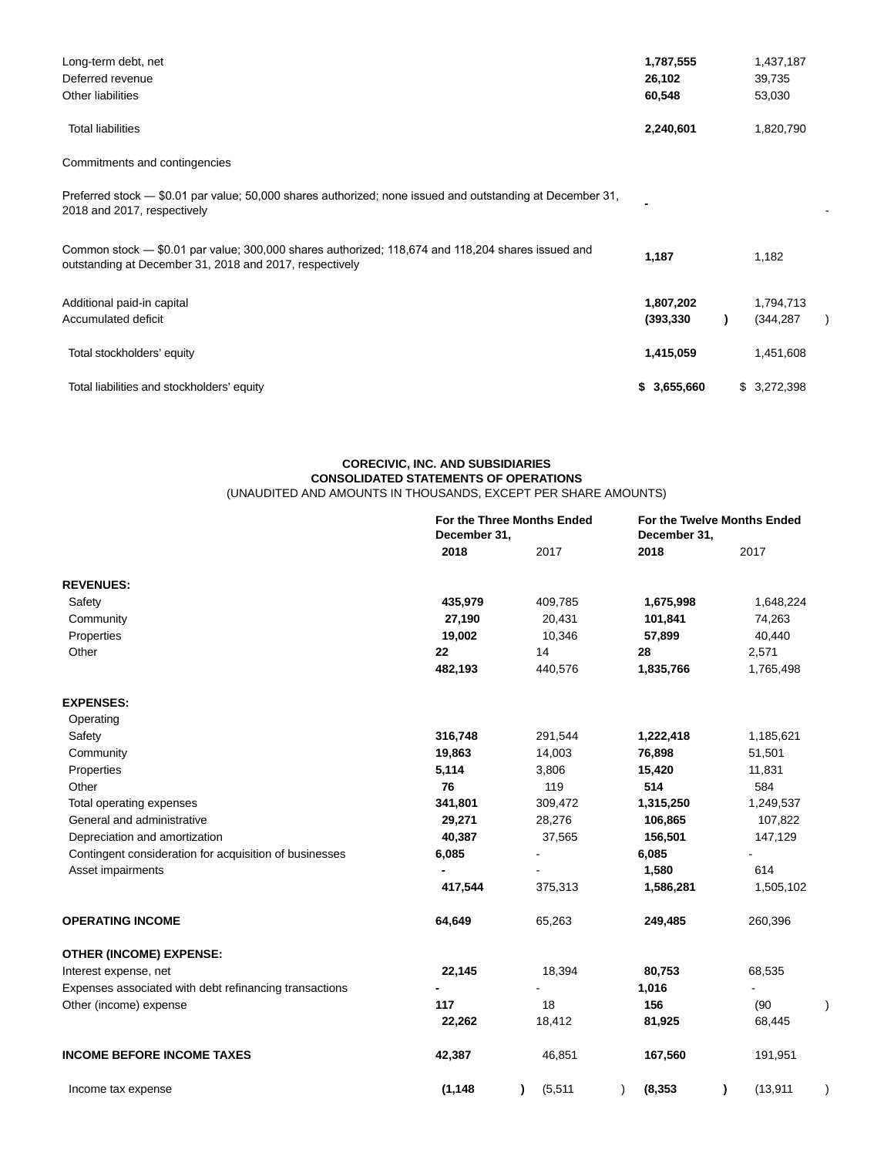| Long-term debt, net                                                                                                                                          | 1,787,555               | 1,437,187               |  |
|--------------------------------------------------------------------------------------------------------------------------------------------------------------|-------------------------|-------------------------|--|
| Deferred revenue                                                                                                                                             | 26,102                  | 39,735                  |  |
| Other liabilities                                                                                                                                            | 60,548                  | 53,030                  |  |
| <b>Total liabilities</b>                                                                                                                                     | 2,240,601               | 1,820,790               |  |
| Commitments and contingencies                                                                                                                                |                         |                         |  |
| Preferred stock — \$0.01 par value; 50,000 shares authorized; none issued and outstanding at December 31,<br>2018 and 2017, respectively                     |                         |                         |  |
| Common stock - \$0.01 par value; 300,000 shares authorized; 118,674 and 118,204 shares issued and<br>outstanding at December 31, 2018 and 2017, respectively | 1,187                   | 1,182                   |  |
| Additional paid-in capital<br>Accumulated deficit                                                                                                            | 1,807,202<br>(393, 330) | 1,794,713<br>(344, 287) |  |
| Total stockholders' equity                                                                                                                                   | 1,415,059               | 1,451,608               |  |
| Total liabilities and stockholders' equity                                                                                                                   | \$3,655,660             | \$3,272,398             |  |

#### **CORECIVIC, INC. AND SUBSIDIARIES CONSOLIDATED STATEMENTS OF OPERATIONS** (UNAUDITED AND AMOUNTS IN THOUSANDS, EXCEPT PER SHARE AMOUNTS)

|                                                        | For the Three Months Ended<br>December 31, |                | December 31, | For the Twelve Months Ended |
|--------------------------------------------------------|--------------------------------------------|----------------|--------------|-----------------------------|
|                                                        | 2018                                       | 2017           | 2018         | 2017                        |
| <b>REVENUES:</b>                                       |                                            |                |              |                             |
| Safety                                                 | 435,979                                    | 409,785        | 1,675,998    | 1,648,224                   |
| Community                                              | 27,190                                     | 20,431         | 101,841      | 74,263                      |
| Properties                                             | 19,002                                     | 10,346         | 57,899       | 40,440                      |
| Other                                                  | 22                                         | 14             | 28           | 2,571                       |
|                                                        | 482,193                                    | 440,576        | 1,835,766    | 1,765,498                   |
| <b>EXPENSES:</b>                                       |                                            |                |              |                             |
| Operating                                              |                                            |                |              |                             |
| Safety                                                 | 316,748                                    | 291,544        | 1,222,418    | 1,185,621                   |
| Community                                              | 19,863                                     | 14,003         | 76,898       | 51,501                      |
| Properties                                             | 5,114                                      | 3,806          | 15,420       | 11,831                      |
| Other                                                  | 76                                         | 119            | 514          | 584                         |
| Total operating expenses                               | 341,801                                    | 309,472        | 1,315,250    | 1,249,537                   |
| General and administrative                             | 29,271                                     | 28,276         | 106,865      | 107,822                     |
| Depreciation and amortization                          | 40,387                                     | 37,565         | 156,501      | 147,129                     |
| Contingent consideration for acquisition of businesses | 6,085                                      | $\blacksquare$ | 6,085        |                             |
| Asset impairments                                      | $\blacksquare$                             |                | 1,580        | 614                         |
|                                                        | 417,544                                    | 375,313        | 1,586,281    | 1,505,102                   |
| <b>OPERATING INCOME</b>                                | 64,649                                     | 65,263         | 249,485      | 260,396                     |
| <b>OTHER (INCOME) EXPENSE:</b>                         |                                            |                |              |                             |
| Interest expense, net                                  | 22,145                                     | 18,394         | 80,753       | 68,535                      |
| Expenses associated with debt refinancing transactions |                                            |                | 1,016        |                             |
| Other (income) expense                                 | 117                                        | 18             | 156          | (90)                        |
|                                                        | 22,262                                     | 18,412         | 81,925       | 68,445                      |
| <b>INCOME BEFORE INCOME TAXES</b>                      | 42,387                                     | 46,851         | 167,560      | 191,951                     |
| Income tax expense                                     | (1, 148)                                   | (5, 511)       | (8, 353)     | (13, 911)                   |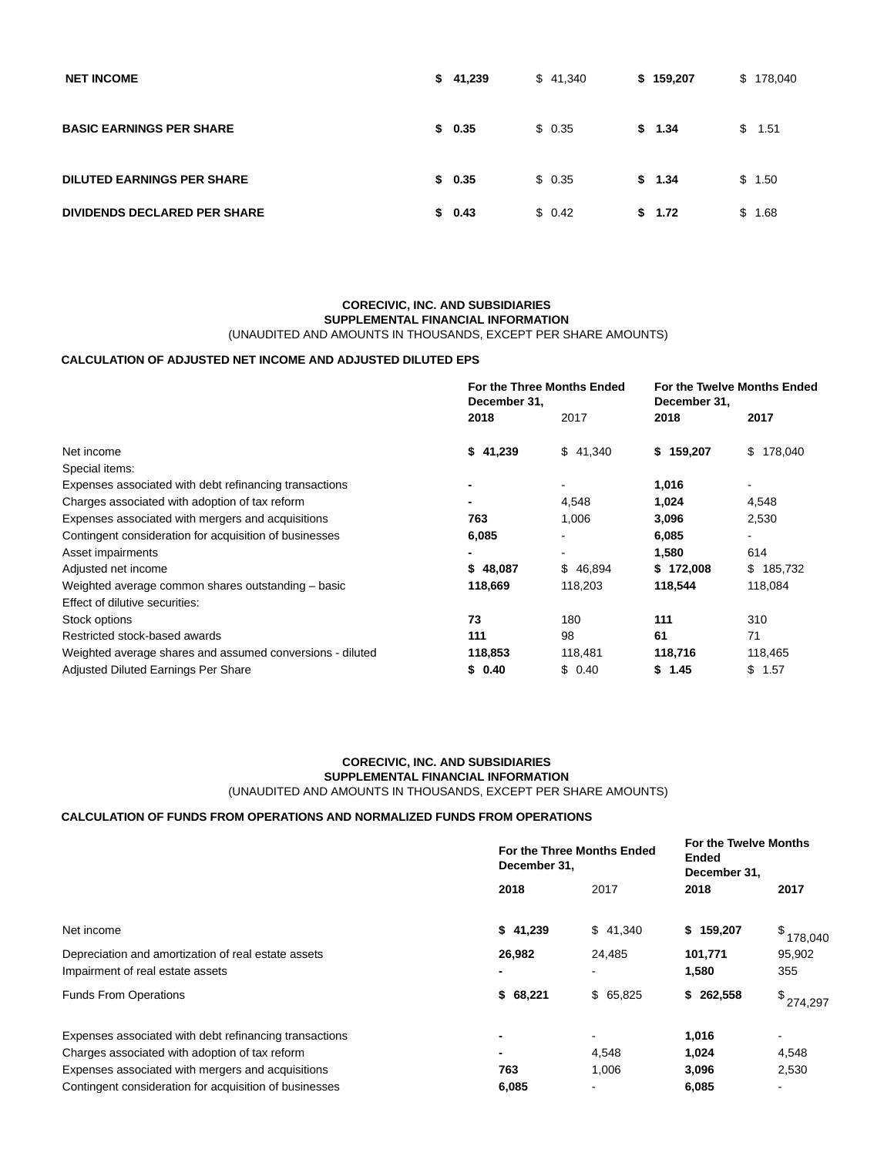| <b>NET INCOME</b>                   | \$41,239 | \$41,340 | \$159,207 | \$178,040  |
|-------------------------------------|----------|----------|-----------|------------|
| <b>BASIC EARNINGS PER SHARE</b>     | \$0.35   | \$0.35   | \$1.34    | \$<br>1.51 |
| <b>DILUTED EARNINGS PER SHARE</b>   | \$0.35   | \$0.35   | \$1.34    | \$1.50     |
| <b>DIVIDENDS DECLARED PER SHARE</b> | \$0.43   | \$0.42   | \$1.72    | \$<br>1.68 |

### **CORECIVIC, INC. AND SUBSIDIARIES SUPPLEMENTAL FINANCIAL INFORMATION** (UNAUDITED AND AMOUNTS IN THOUSANDS, EXCEPT PER SHARE AMOUNTS)

## **CALCULATION OF ADJUSTED NET INCOME AND ADJUSTED DILUTED EPS**

|                                                           | For the Three Months Ended<br>December 31, |          | December 31, | <b>For the Twelve Months Ended</b> |
|-----------------------------------------------------------|--------------------------------------------|----------|--------------|------------------------------------|
|                                                           | 2018                                       | 2017     | 2018         | 2017                               |
| Net income                                                | \$41,239                                   | \$41,340 | \$159,207    | \$178,040                          |
| Special items:                                            |                                            |          |              |                                    |
| Expenses associated with debt refinancing transactions    | ٠                                          |          | 1,016        |                                    |
| Charges associated with adoption of tax reform            |                                            | 4.548    | 1,024        | 4,548                              |
| Expenses associated with mergers and acquisitions         | 763                                        | 1,006    | 3,096        | 2,530                              |
| Contingent consideration for acquisition of businesses    | 6,085                                      |          | 6,085        |                                    |
| Asset impairments                                         |                                            |          | 1,580        | 614                                |
| Adjusted net income                                       | \$48,087                                   | \$46,894 | \$172,008    | \$185,732                          |
| Weighted average common shares outstanding - basic        | 118,669                                    | 118,203  | 118,544      | 118,084                            |
| Effect of dilutive securities:                            |                                            |          |              |                                    |
| Stock options                                             | 73                                         | 180      | 111          | 310                                |
| Restricted stock-based awards                             | 111                                        | 98       | 61           | 71                                 |
| Weighted average shares and assumed conversions - diluted | 118,853                                    | 118,481  | 118,716      | 118,465                            |
| Adjusted Diluted Earnings Per Share                       | \$0.40                                     | \$0.40   | \$1.45       | \$1.57                             |

## **CORECIVIC, INC. AND SUBSIDIARIES SUPPLEMENTAL FINANCIAL INFORMATION** (UNAUDITED AND AMOUNTS IN THOUSANDS, EXCEPT PER SHARE AMOUNTS)

## **CALCULATION OF FUNDS FROM OPERATIONS AND NORMALIZED FUNDS FROM OPERATIONS**

|                                                        | December 31, | For the Three Months Ended | For the Twelve Months<br>Ended<br>December 31, |           |  |
|--------------------------------------------------------|--------------|----------------------------|------------------------------------------------|-----------|--|
|                                                        | 2018         | 2017                       | 2018                                           | 2017      |  |
| Net income                                             | \$41,239     | \$41,340                   | \$159,207                                      | \$178,040 |  |
| Depreciation and amortization of real estate assets    | 26,982       | 24,485                     | 101,771                                        | 95,902    |  |
| Impairment of real estate assets                       |              |                            | 1,580                                          | 355       |  |
| <b>Funds From Operations</b>                           | \$68,221     | \$65,825                   | \$262,558                                      | \$274,297 |  |
| Expenses associated with debt refinancing transactions |              |                            | 1,016                                          |           |  |
| Charges associated with adoption of tax reform         |              | 4,548                      | 1,024                                          | 4,548     |  |
| Expenses associated with mergers and acquisitions      | 763          | 1,006                      | 3,096                                          | 2,530     |  |
| Contingent consideration for acquisition of businesses | 6,085        |                            | 6,085                                          |           |  |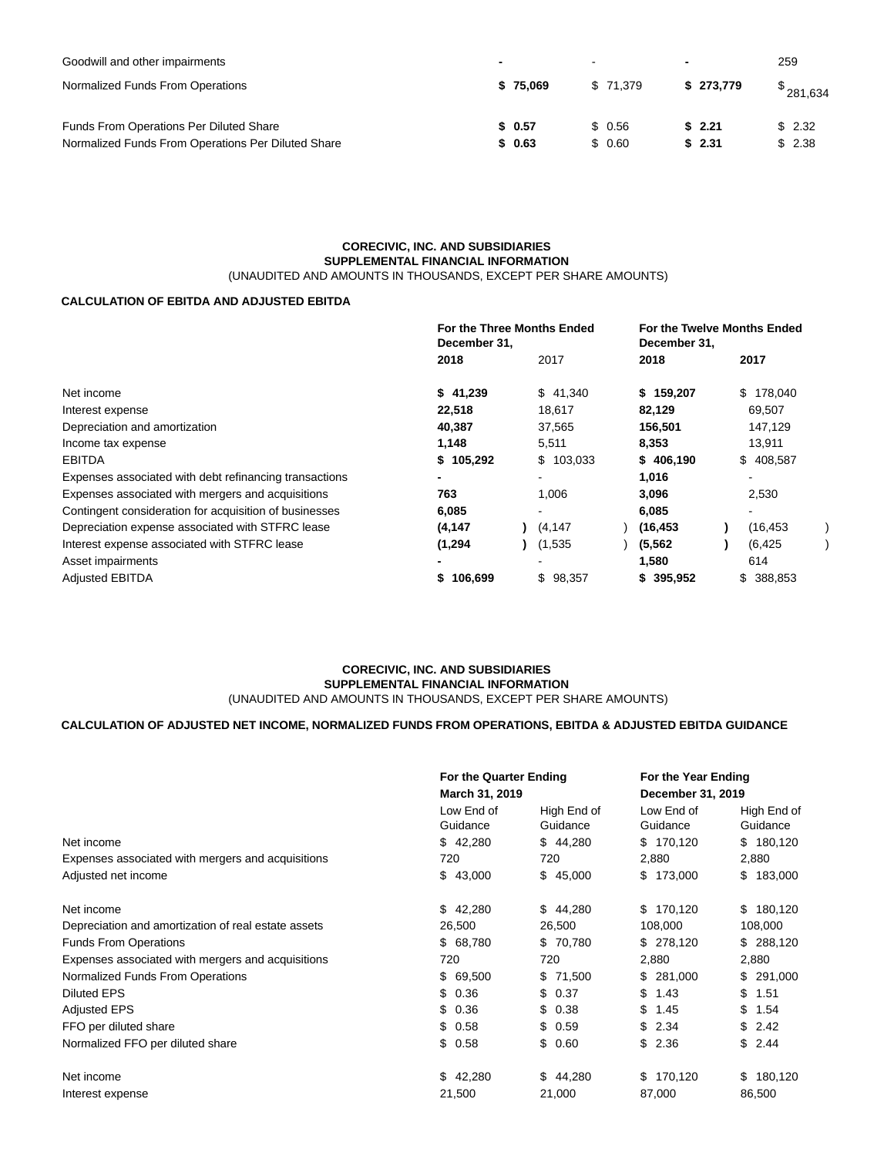| Goodwill and other impairments                     | $\overline{\phantom{0}}$ |          | $\sim$ |          |           | 259 |           |
|----------------------------------------------------|--------------------------|----------|--------|----------|-----------|-----|-----------|
| Normalized Funds From Operations                   |                          | \$75.069 |        | \$71.379 | \$273.779 |     | \$281,634 |
| Funds From Operations Per Diluted Share            |                          | \$0.57   |        | \$ 0.56  | \$2.21    |     | \$2.32    |
| Normalized Funds From Operations Per Diluted Share |                          | \$0.63   |        | \$ 0.60  | \$2.31    |     | \$2.38    |

### **CORECIVIC, INC. AND SUBSIDIARIES SUPPLEMENTAL FINANCIAL INFORMATION** (UNAUDITED AND AMOUNTS IN THOUSANDS, EXCEPT PER SHARE AMOUNTS)

## **CALCULATION OF EBITDA AND ADJUSTED EBITDA**

|                                                        | For the Three Months Ended<br>December 31, |  |           | December 31, | For the Twelve Months Ended |  |  |
|--------------------------------------------------------|--------------------------------------------|--|-----------|--------------|-----------------------------|--|--|
|                                                        | 2018                                       |  | 2017      | 2018         | 2017                        |  |  |
| Net income                                             | \$41,239                                   |  | \$41,340  | \$159,207    | \$178,040                   |  |  |
| Interest expense                                       | 22,518                                     |  | 18,617    | 82,129       | 69,507                      |  |  |
| Depreciation and amortization                          | 40,387                                     |  | 37,565    | 156,501      | 147,129                     |  |  |
| Income tax expense                                     | 1,148                                      |  | 5,511     | 8,353        | 13,911                      |  |  |
| <b>EBITDA</b>                                          | \$105,292                                  |  | \$103,033 | \$406,190    | \$408,587                   |  |  |
| Expenses associated with debt refinancing transactions |                                            |  |           | 1,016        |                             |  |  |
| Expenses associated with mergers and acquisitions      | 763                                        |  | 1,006     | 3,096        | 2,530                       |  |  |
| Contingent consideration for acquisition of businesses | 6,085                                      |  |           | 6,085        |                             |  |  |
| Depreciation expense associated with STFRC lease       | (4, 147)                                   |  | (4, 147)  | (16, 453)    | (16, 453)                   |  |  |
| Interest expense associated with STFRC lease           | (1, 294)                                   |  | (1,535    | (5.562)      | (6, 425)                    |  |  |
| Asset impairments                                      |                                            |  |           | 1,580        | 614                         |  |  |
| <b>Adjusted EBITDA</b>                                 | 106,699                                    |  | \$98,357  | \$395,952    | \$ 388,853                  |  |  |

## **CORECIVIC, INC. AND SUBSIDIARIES SUPPLEMENTAL FINANCIAL INFORMATION** (UNAUDITED AND AMOUNTS IN THOUSANDS, EXCEPT PER SHARE AMOUNTS)

## **CALCULATION OF ADJUSTED NET INCOME, NORMALIZED FUNDS FROM OPERATIONS, EBITDA & ADJUSTED EBITDA GUIDANCE**

|                                                     |                        | For the Quarter Ending  |                        | For the Year Ending     |  |  |
|-----------------------------------------------------|------------------------|-------------------------|------------------------|-------------------------|--|--|
|                                                     | March 31, 2019         |                         | December 31, 2019      |                         |  |  |
|                                                     | Low End of<br>Guidance | High End of<br>Guidance | Low End of<br>Guidance | High End of<br>Guidance |  |  |
| Net income                                          | \$42,280               | \$44,280                | \$170,120              | \$180,120               |  |  |
| Expenses associated with mergers and acquisitions   | 720                    | 720                     | 2,880                  | 2,880                   |  |  |
| Adjusted net income                                 | \$43,000               | \$45,000                | \$173,000              | \$183,000               |  |  |
| Net income                                          | 42,280<br>\$           | \$44,280                | \$170,120              | \$180,120               |  |  |
| Depreciation and amortization of real estate assets | 26,500                 | 26,500                  | 108,000                | 108,000                 |  |  |
| <b>Funds From Operations</b>                        | \$ 68,780              | \$70,780                | \$278,120              | \$ 288,120              |  |  |
| Expenses associated with mergers and acquisitions   | 720                    | 720                     | 2,880                  | 2,880                   |  |  |
| Normalized Funds From Operations                    | \$69,500               | \$ 71,500               | \$ 281,000             | \$291,000               |  |  |
| <b>Diluted EPS</b>                                  | 0.36<br>\$             | \$0.37                  | 1.43<br>\$             | \$1.51                  |  |  |
| <b>Adjusted EPS</b>                                 | \$<br>0.36             | \$0.38                  | \$<br>1.45             | \$1.54                  |  |  |
| FFO per diluted share                               | \$<br>0.58             | \$0.59                  | \$2.34                 | \$2.42                  |  |  |
| Normalized FFO per diluted share                    | \$<br>0.58             | 0.60<br>\$.             | \$2.36                 | \$2.44                  |  |  |
| Net income                                          | \$<br>42,280           | \$44,280                | \$170,120              | 180,120<br>\$           |  |  |
| Interest expense                                    | 21,500                 | 21,000                  | 87,000                 | 86,500                  |  |  |